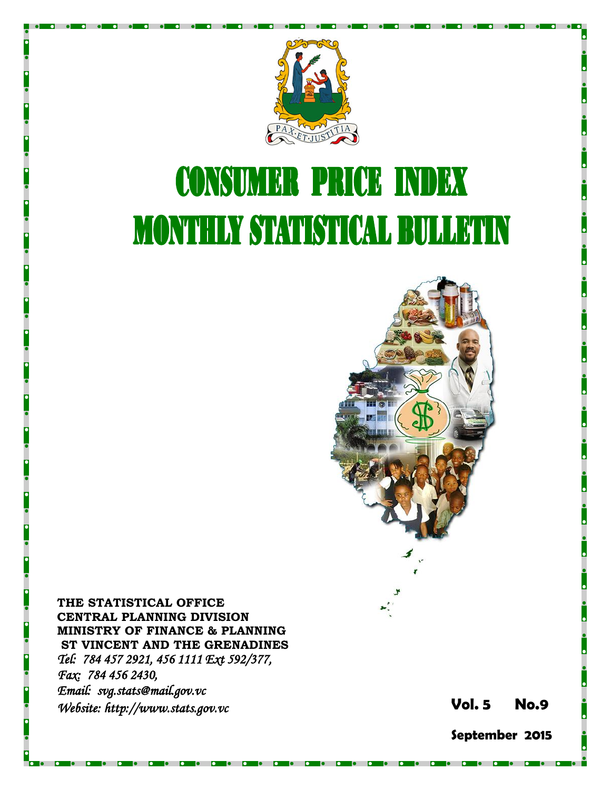

# **CONSUMER PRICE INDEX MONTHLY STATISTICAL BULLETIN**



**THE STATISTICAL OFFICE CENTRAL PLANNING DIVISION MINISTRY OF FINANCE & PLANNING ST VINCENT AND THE GRENADINES** *Tel: 784 457 2921, 456 1111 Ext 592/377, Fax: 784 456 2430, Email: svg.stats@mail.gov.v c Website: http://www.stats.gov.vc* **Vol.** 

**5 No. 9**

**September 2015**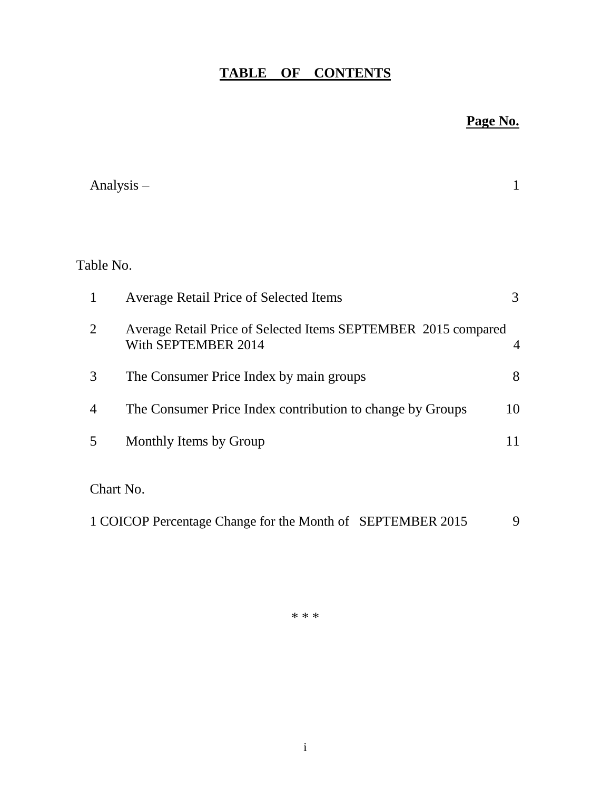# **TABLE OF CONTENTS**

## **Page No.**

|                | Analysis $-$                                                                          | $\mathbf{1}$   |
|----------------|---------------------------------------------------------------------------------------|----------------|
|                |                                                                                       |                |
|                |                                                                                       |                |
| Table No.      |                                                                                       |                |
| 1              | <b>Average Retail Price of Selected Items</b>                                         | 3              |
| $\overline{2}$ | Average Retail Price of Selected Items SEPTEMBER 2015 compared<br>With SEPTEMBER 2014 | $\overline{4}$ |
| 3              | The Consumer Price Index by main groups                                               | 8              |
| 4              | The Consumer Price Index contribution to change by Groups                             | 10             |
| 5              | Monthly Items by Group                                                                | 11             |
|                |                                                                                       |                |
|                | Chart No.                                                                             |                |
|                | 1 COICOP Percentage Change for the Month of SEPTEMBER 2015                            | 9              |

\* \* \*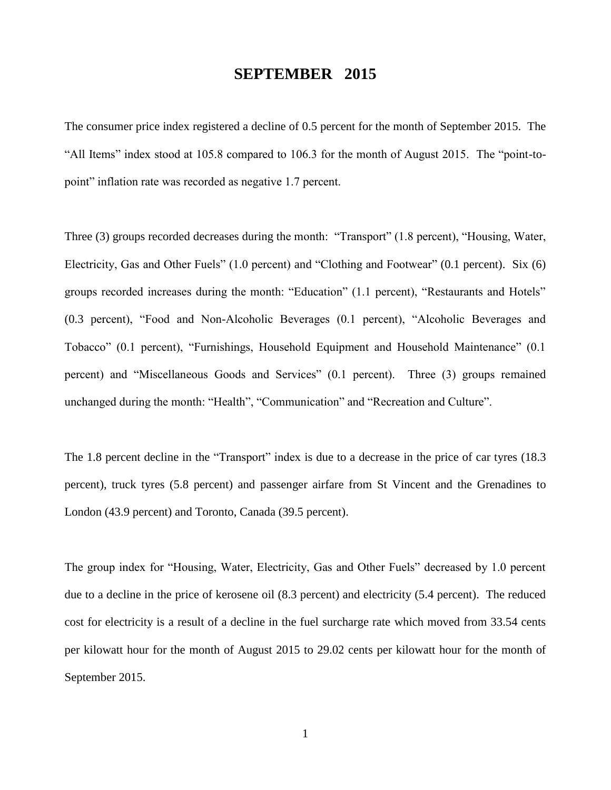## **SEPTEMBER 2015**

The consumer price index registered a decline of 0.5 percent for the month of September 2015. The "All Items" index stood at 105.8 compared to 106.3 for the month of August 2015. The "point-topoint" inflation rate was recorded as negative 1.7 percent.

Three (3) groups recorded decreases during the month: "Transport" (1.8 percent), "Housing, Water, Electricity, Gas and Other Fuels" (1.0 percent) and "Clothing and Footwear" (0.1 percent). Six (6) groups recorded increases during the month: "Education" (1.1 percent), "Restaurants and Hotels" (0.3 percent), "Food and Non-Alcoholic Beverages (0.1 percent), "Alcoholic Beverages and Tobacco" (0.1 percent), "Furnishings, Household Equipment and Household Maintenance" (0.1 percent) and "Miscellaneous Goods and Services" (0.1 percent). Three (3) groups remained unchanged during the month: "Health", "Communication" and "Recreation and Culture".

The 1.8 percent decline in the "Transport" index is due to a decrease in the price of car tyres (18.3) percent), truck tyres (5.8 percent) and passenger airfare from St Vincent and the Grenadines to London (43.9 percent) and Toronto, Canada (39.5 percent).

The group index for "Housing, Water, Electricity, Gas and Other Fuels" decreased by 1.0 percent due to a decline in the price of kerosene oil (8.3 percent) and electricity (5.4 percent). The reduced cost for electricity is a result of a decline in the fuel surcharge rate which moved from 33.54 cents per kilowatt hour for the month of August 2015 to 29.02 cents per kilowatt hour for the month of September 2015.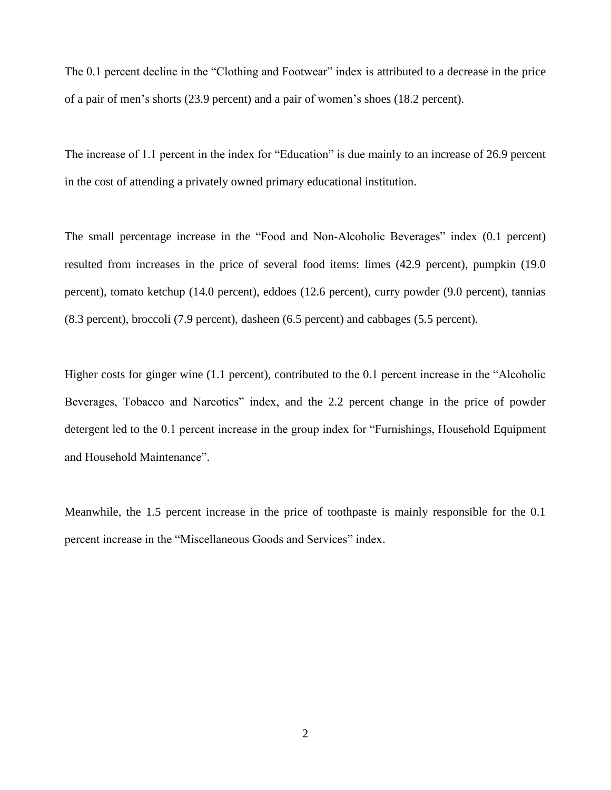The 0.1 percent decline in the "Clothing and Footwear" index is attributed to a decrease in the price of a pair of men's shorts (23.9 percent) and a pair of women's shoes (18.2 percent).

The increase of 1.1 percent in the index for "Education" is due mainly to an increase of 26.9 percent in the cost of attending a privately owned primary educational institution.

The small percentage increase in the "Food and Non-Alcoholic Beverages" index (0.1 percent) resulted from increases in the price of several food items: limes (42.9 percent), pumpkin (19.0 percent), tomato ketchup (14.0 percent), eddoes (12.6 percent), curry powder (9.0 percent), tannias (8.3 percent), broccoli (7.9 percent), dasheen (6.5 percent) and cabbages (5.5 percent).

Higher costs for ginger wine (1.1 percent), contributed to the 0.1 percent increase in the "Alcoholic Beverages, Tobacco and Narcotics" index, and the 2.2 percent change in the price of powder detergent led to the 0.1 percent increase in the group index for "Furnishings, Household Equipment and Household Maintenance".

Meanwhile, the 1.5 percent increase in the price of toothpaste is mainly responsible for the 0.1 percent increase in the "Miscellaneous Goods and Services" index.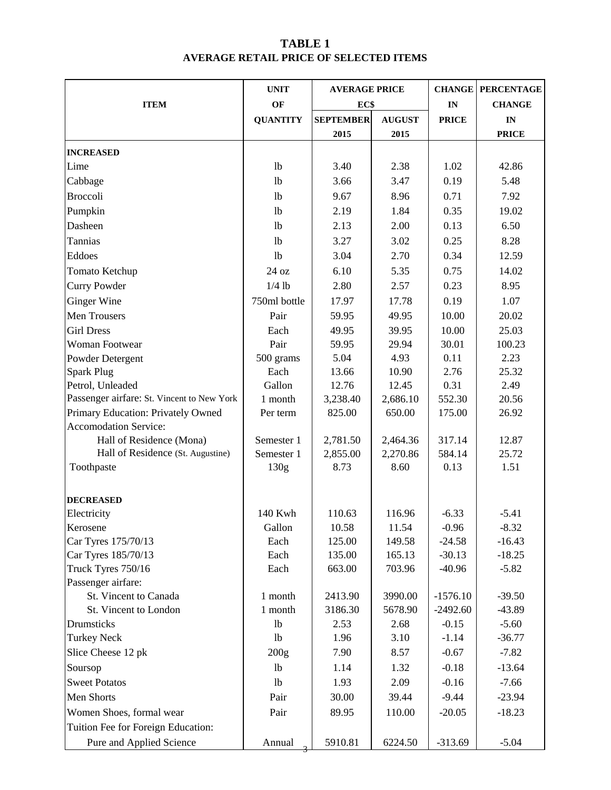### **TABLE 1 AVERAGE RETAIL PRICE OF SELECTED ITEMS**

|                                            | <b>UNIT</b>      | <b>AVERAGE PRICE</b> |               |              | <b>CHANGE PERCENTAGE</b> |  |
|--------------------------------------------|------------------|----------------------|---------------|--------------|--------------------------|--|
| <b>ITEM</b>                                | OF               | EC\$                 |               | IN           | <b>CHANGE</b>            |  |
|                                            | <b>QUANTITY</b>  | <b>SEPTEMBER</b>     | <b>AUGUST</b> | <b>PRICE</b> | IN                       |  |
|                                            |                  | 2015                 | 2015          |              | <b>PRICE</b>             |  |
| <b>INCREASED</b>                           |                  |                      |               |              |                          |  |
| Lime                                       | 1 <sub>b</sub>   | 3.40                 | 2.38          | 1.02         | 42.86                    |  |
| Cabbage                                    | 1 <sub>b</sub>   | 3.66                 | 3.47          | 0.19         | 5.48                     |  |
| <b>Broccoli</b>                            | 1 <sub>b</sub>   | 9.67                 | 8.96          | 0.71         | 7.92                     |  |
|                                            |                  |                      |               |              |                          |  |
| Pumpkin                                    | 1 <sub>b</sub>   | 2.19                 | 1.84          | 0.35         | 19.02                    |  |
| Dasheen                                    | 1 <sub>b</sub>   | 2.13                 | 2.00          | 0.13         | 6.50                     |  |
| Tannias                                    | 1 <sub>b</sub>   | 3.27                 | 3.02          | 0.25         | 8.28                     |  |
| Eddoes                                     | 1 <sub>b</sub>   | 3.04                 | 2.70          | 0.34         | 12.59                    |  |
| Tomato Ketchup                             | 24 oz            | 6.10                 | 5.35          | 0.75         | 14.02                    |  |
| <b>Curry Powder</b>                        | $1/4$ lb         | 2.80                 | 2.57          | 0.23         | 8.95                     |  |
| <b>Ginger Wine</b>                         | 750ml bottle     | 17.97                | 17.78         | 0.19         | 1.07                     |  |
| Men Trousers                               | Pair             | 59.95                | 49.95         | 10.00        | 20.02                    |  |
| <b>Girl Dress</b>                          | Each             | 49.95                | 39.95         | 10.00        | 25.03                    |  |
| <b>Woman Footwear</b>                      | Pair             | 59.95                | 29.94         | 30.01        | 100.23                   |  |
| Powder Detergent                           | 500 grams        | 5.04                 | 4.93          | 0.11         | 2.23                     |  |
| <b>Spark Plug</b>                          | Each             | 13.66                | 10.90         | 2.76         | 25.32                    |  |
| Petrol, Unleaded                           | Gallon           | 12.76                | 12.45         | 0.31         | 2.49                     |  |
| Passenger airfare: St. Vincent to New York | 1 month          | 3,238.40             | 2,686.10      | 552.30       | 20.56                    |  |
| Primary Education: Privately Owned         | Per term         | 825.00               | 650.00        | 175.00       | 26.92                    |  |
| <b>Accomodation Service:</b>               |                  |                      |               |              |                          |  |
| Hall of Residence (Mona)                   | Semester 1       | 2,781.50             | 2,464.36      | 317.14       | 12.87                    |  |
| Hall of Residence (St. Augustine)          | Semester 1       | 2,855.00             | 2,270.86      | 584.14       | 25.72                    |  |
| Toothpaste                                 | 130 <sub>g</sub> | 8.73                 | 8.60          | 0.13         | 1.51                     |  |
| <b>DECREASED</b>                           |                  |                      |               |              |                          |  |
| Electricity                                | 140 Kwh          | 110.63               | 116.96        | $-6.33$      | $-5.41$                  |  |
| Kerosene                                   | Gallon           | 10.58                | 11.54         | $-0.96$      | $-8.32$                  |  |
| Car Tyres 175/70/13                        | Each             | 125.00               | 149.58        | $-24.58$     | $-16.43$                 |  |
| Car Tyres 185/70/13                        | Each             | 135.00               | 165.13        | $-30.13$     | $-18.25$                 |  |
| Truck Tyres 750/16                         | Each             | 663.00               | 703.96        | $-40.96$     | $-5.82$                  |  |
| Passenger airfare:                         |                  |                      |               |              |                          |  |
| St. Vincent to Canada                      | 1 month          | 2413.90              | 3990.00       | $-1576.10$   | $-39.50$                 |  |
| St. Vincent to London                      | 1 month          | 3186.30              | 5678.90       | $-2492.60$   | $-43.89$                 |  |
| Drumsticks                                 | 1 <sub>b</sub>   | 2.53                 | 2.68          | $-0.15$      | $-5.60$                  |  |
| <b>Turkey Neck</b>                         | 1 <sub>b</sub>   | 1.96                 | 3.10          | $-1.14$      | $-36.77$                 |  |
| Slice Cheese 12 pk                         | 200g             | 7.90                 | 8.57          | $-0.67$      | $-7.82$                  |  |
| Soursop                                    | <b>lb</b>        | 1.14                 | 1.32          | $-0.18$      | $-13.64$                 |  |
| <b>Sweet Potatos</b>                       | 1 <sub>b</sub>   | 1.93                 | 2.09          | $-0.16$      | $-7.66$                  |  |
| Men Shorts                                 | Pair             | 30.00                | 39.44         | $-9.44$      | $-23.94$                 |  |
| Women Shoes, formal wear                   | Pair             | 89.95                | 110.00        | $-20.05$     | $-18.23$                 |  |
| Tuition Fee for Foreign Education:         |                  |                      |               |              |                          |  |
|                                            |                  |                      |               |              |                          |  |
| Pure and Applied Science                   | Annual           | 5910.81              | 6224.50       | $-313.69$    | $-5.04$                  |  |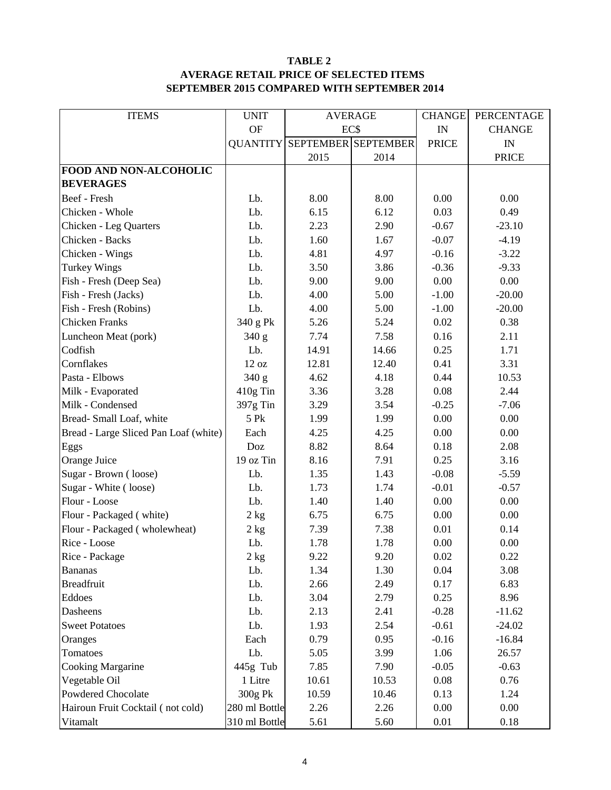#### **TABLE 2 AVERAGE RETAIL PRICE OF SELECTED ITEMS SEPTEMBER 2015 COMPARED WITH SEPTEMBER 2014**

| <b>ITEMS</b>                          | <b>UNIT</b>   | <b>AVERAGE</b>                      |       | <b>CHANGE</b> | PERCENTAGE    |  |
|---------------------------------------|---------------|-------------------------------------|-------|---------------|---------------|--|
|                                       | <b>OF</b>     | EC\$                                |       | IN            | <b>CHANGE</b> |  |
|                                       |               | <b>QUANTITY SEPTEMBER SEPTEMBER</b> |       | <b>PRICE</b>  | IN            |  |
|                                       |               | 2015<br>2014                        |       |               | <b>PRICE</b>  |  |
| <b>FOOD AND NON-ALCOHOLIC</b>         |               |                                     |       |               |               |  |
| <b>BEVERAGES</b>                      |               |                                     |       |               |               |  |
| Beef - Fresh                          | Lb.           | 8.00                                | 8.00  | 0.00          | 0.00          |  |
| Chicken - Whole                       | Lb.           | 6.15                                | 6.12  | 0.03          | 0.49          |  |
| Chicken - Leg Quarters                | Lb.           | 2.23                                | 2.90  | $-0.67$       | $-23.10$      |  |
| Chicken - Backs                       | Lb.           | 1.60                                | 1.67  | $-0.07$       | $-4.19$       |  |
| Chicken - Wings                       | Lb.           | 4.81                                | 4.97  | $-0.16$       | $-3.22$       |  |
| <b>Turkey Wings</b>                   | Lb.           | 3.50                                | 3.86  | $-0.36$       | $-9.33$       |  |
| Fish - Fresh (Deep Sea)               | Lb.           | 9.00                                | 9.00  | 0.00          | 0.00          |  |
| Fish - Fresh (Jacks)                  | Lb.           | 4.00                                | 5.00  | $-1.00$       | $-20.00$      |  |
| Fish - Fresh (Robins)                 | Lb.           | 4.00                                | 5.00  | $-1.00$       | $-20.00$      |  |
| <b>Chicken Franks</b>                 | 340 g Pk      | 5.26                                | 5.24  | 0.02          | 0.38          |  |
| Luncheon Meat (pork)                  | 340 g         | 7.74                                | 7.58  | 0.16          | 2.11          |  |
| Codfish                               | Lb.           | 14.91                               | 14.66 | 0.25          | 1.71          |  |
| Cornflakes                            | 12 oz         | 12.81                               | 12.40 | 0.41          | 3.31          |  |
| Pasta - Elbows                        | 340 g         | 4.62                                | 4.18  | 0.44          | 10.53         |  |
| Milk - Evaporated                     | 410g Tin      | 3.36                                | 3.28  | 0.08          | 2.44          |  |
| Milk - Condensed                      | 397g Tin      | 3.29                                | 3.54  | $-0.25$       | $-7.06$       |  |
| Bread-Small Loaf, white               | 5 Pk          | 1.99                                | 1.99  | 0.00          | 0.00          |  |
| Bread - Large Sliced Pan Loaf (white) | Each          | 4.25                                | 4.25  | 0.00          | 0.00          |  |
| Eggs                                  | Doz           | 8.82                                | 8.64  | 0.18          | 2.08          |  |
| Orange Juice                          | 19 oz Tin     | 8.16                                | 7.91  | 0.25          | 3.16          |  |
| Sugar - Brown (loose)                 | Lb.           | 1.35                                | 1.43  | $-0.08$       | $-5.59$       |  |
| Sugar - White (loose)                 | Lb.           | 1.73                                | 1.74  | $-0.01$       | $-0.57$       |  |
| Flour - Loose                         | Lb.           | 1.40                                | 1.40  | 0.00          | 0.00          |  |
| Flour - Packaged (white)              | 2 kg          | 6.75                                | 6.75  | 0.00          | 0.00          |  |
| Flour - Packaged (wholewheat)         | 2 kg          | 7.39                                | 7.38  | 0.01          | 0.14          |  |
| Rice - Loose                          | Lb.           | 1.78                                | 1.78  | 0.00          | 0.00          |  |
| Rice - Package                        | 2 kg          | 9.22                                | 9.20  | 0.02          | 0.22          |  |
| <b>Bananas</b>                        | Lb.           | 1.34                                | 1.30  | 0.04          | 3.08          |  |
| <b>Breadfruit</b>                     | Lb.           | 2.66                                | 2.49  | 0.17          | 6.83          |  |
| Eddoes                                | Lb.           | 3.04                                | 2.79  | 0.25          | 8.96          |  |
| Dasheens                              | Lb.           | 2.13                                | 2.41  | $-0.28$       | $-11.62$      |  |
| <b>Sweet Potatoes</b>                 | Lb.           | 1.93                                | 2.54  | $-0.61$       | $-24.02$      |  |
| Oranges                               | Each          | 0.79                                | 0.95  | $-0.16$       | $-16.84$      |  |
| Tomatoes                              | Lb.           | 5.05                                | 3.99  | 1.06          | 26.57         |  |
| <b>Cooking Margarine</b>              | 445g Tub      | 7.85                                | 7.90  | $-0.05$       | $-0.63$       |  |
| Vegetable Oil                         | 1 Litre       | 10.61                               | 10.53 | 0.08          | 0.76          |  |
| Powdered Chocolate                    | 300g Pk       | 10.59                               | 10.46 | 0.13          | 1.24          |  |
| Hairoun Fruit Cocktail (not cold)     | 280 ml Bottle | 2.26                                | 2.26  | 0.00          | 0.00          |  |
| Vitamalt                              | 310 ml Bottle | 5.61                                | 5.60  | $0.01\,$      | 0.18          |  |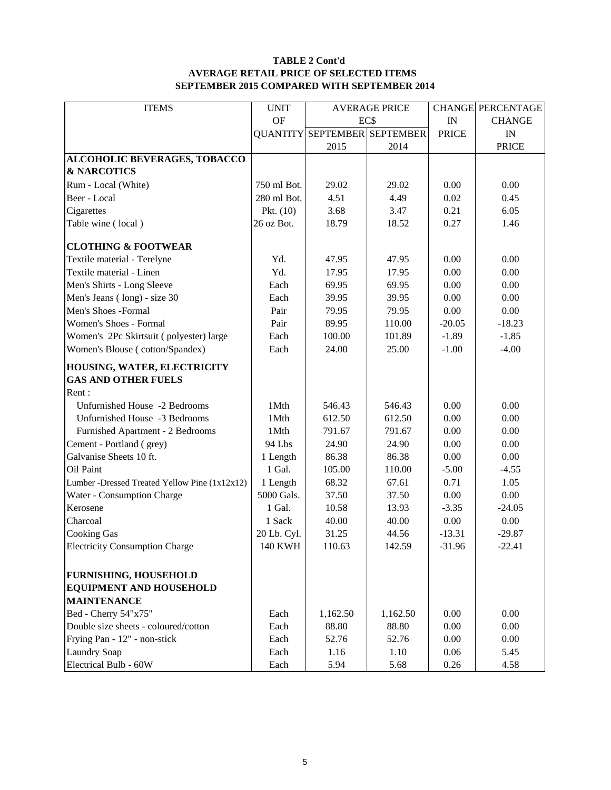#### **TABLE 2 Cont'd AVERAGE RETAIL PRICE OF SELECTED ITEMS SEPTEMBER 2015 COMPARED WITH SEPTEMBER 2014**

| <b>ITEMS</b>                                         | <b>UNIT</b>    | <b>AVERAGE PRICE</b> |                                     |              | <b>CHANGE PERCENTAGE</b> |
|------------------------------------------------------|----------------|----------------------|-------------------------------------|--------------|--------------------------|
|                                                      | <b>OF</b>      | EC\$                 |                                     | IN           | <b>CHANGE</b>            |
|                                                      |                |                      | <b>QUANTITY SEPTEMBER SEPTEMBER</b> | <b>PRICE</b> | IN                       |
|                                                      |                | 2015                 | 2014                                |              | <b>PRICE</b>             |
| ALCOHOLIC BEVERAGES, TOBACCO                         |                |                      |                                     |              |                          |
| <b>&amp; NARCOTICS</b>                               |                |                      |                                     |              |                          |
| Rum - Local (White)                                  | 750 ml Bot.    | 29.02                | 29.02                               | 0.00         | 0.00                     |
| Beer - Local                                         | 280 ml Bot.    | 4.51                 | 4.49                                | 0.02         | 0.45                     |
| Cigarettes                                           | Pkt. $(10)$    | 3.68                 | 3.47                                | 0.21         | 6.05                     |
| Table wine (local)                                   | 26 oz Bot.     | 18.79                | 18.52                               | 0.27         | 1.46                     |
| <b>CLOTHING &amp; FOOTWEAR</b>                       |                |                      |                                     |              |                          |
| Textile material - Terelyne                          | Yd.            | 47.95                | 47.95                               | 0.00         | 0.00                     |
| Textile material - Linen                             | Yd.            | 17.95                | 17.95                               | 0.00         | 0.00                     |
| Men's Shirts - Long Sleeve                           | Each           | 69.95                | 69.95                               | 0.00         | 0.00                     |
| Men's Jeans (long) - size 30                         | Each           | 39.95                | 39.95                               | 0.00         | 0.00                     |
| Men's Shoes -Formal                                  | Pair           | 79.95                | 79.95                               | 0.00         | 0.00                     |
| Women's Shoes - Formal                               | Pair           | 89.95                | 110.00                              | $-20.05$     | $-18.23$                 |
| Women's 2Pc Skirtsuit (polyester) large              | Each           | 100.00               | 101.89                              | $-1.89$      | $-1.85$                  |
| Women's Blouse (cotton/Spandex)                      | Each           | 24.00                | 25.00                               | $-1.00$      | $-4.00$                  |
| HOUSING, WATER, ELECTRICITY                          |                |                      |                                     |              |                          |
| <b>GAS AND OTHER FUELS</b>                           |                |                      |                                     |              |                          |
| Rent:                                                |                |                      |                                     |              |                          |
| Unfurnished House -2 Bedrooms                        | 1Mth           | 546.43               | 546.43                              | 0.00         | 0.00                     |
| Unfurnished House -3 Bedrooms                        | 1Mth           | 612.50               | 612.50                              | 0.00         | 0.00                     |
| Furnished Apartment - 2 Bedrooms                     | 1Mth           | 791.67               | 791.67                              | 0.00         | 0.00                     |
| Cement - Portland (grey)                             | 94 Lbs         | 24.90                | 24.90                               | 0.00         | 0.00                     |
| Galvanise Sheets 10 ft.                              | 1 Length       | 86.38                | 86.38                               | 0.00         | 0.00                     |
| Oil Paint                                            | 1 Gal.         | 105.00               | 110.00                              | $-5.00$      | $-4.55$                  |
| Lumber -Dressed Treated Yellow Pine (1x12x12)        | 1 Length       | 68.32                | 67.61                               | 0.71         | 1.05                     |
| Water - Consumption Charge                           | 5000 Gals.     | 37.50                | 37.50                               | 0.00         | 0.00                     |
| Kerosene                                             | 1 Gal.         | 10.58                | 13.93                               | $-3.35$      | $-24.05$                 |
| Charcoal                                             | 1 Sack         | 40.00                | 40.00                               | 0.00         | 0.00                     |
| <b>Cooking Gas</b>                                   | 20 Lb. Cyl.    | 31.25                | 44.56                               | $-13.31$     | $-29.87$                 |
| <b>Electricity Consumption Charge</b>                | <b>140 KWH</b> | 110.63               | 142.59                              | $-31.96$     | $-22.41$                 |
|                                                      |                |                      |                                     |              |                          |
| <b>FURNISHING, HOUSEHOLD</b>                         |                |                      |                                     |              |                          |
| <b>EQUIPMENT AND HOUSEHOLD</b><br><b>MAINTENANCE</b> |                |                      |                                     |              |                          |
|                                                      |                |                      |                                     |              |                          |
| Bed - Cherry 54"x75"                                 | Each           | 1,162.50             | 1,162.50                            | 0.00         | 0.00                     |
| Double size sheets - coloured/cotton                 | Each           | 88.80                | 88.80                               | 0.00         | 0.00                     |
| Frying Pan - 12" - non-stick                         | Each           | 52.76                | 52.76                               | 0.00         | 0.00                     |
| <b>Laundry Soap</b>                                  | Each           | 1.16                 | 1.10                                | 0.06         | 5.45                     |
| Electrical Bulb - 60W                                | Each           | 5.94                 | 5.68                                | 0.26         | 4.58                     |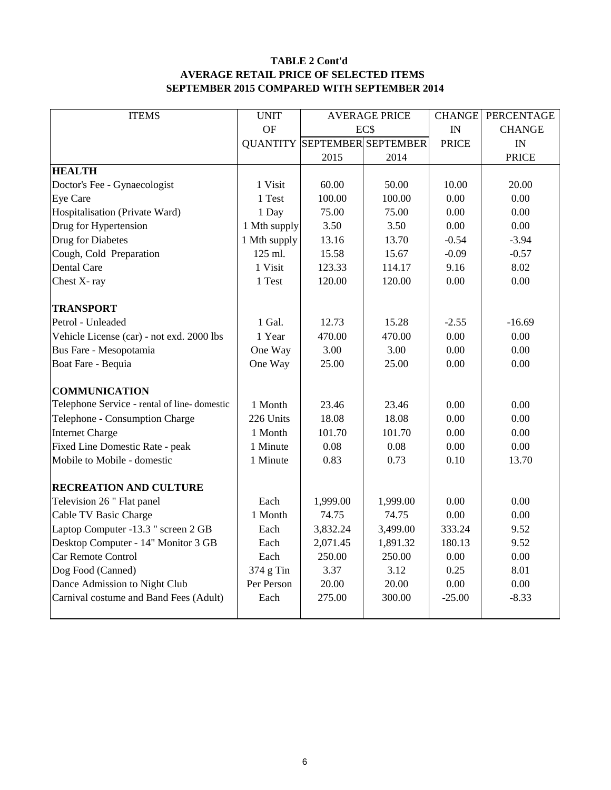#### **TABLE 2 Cont'd AVERAGE RETAIL PRICE OF SELECTED ITEMS SEPTEMBER 2015 COMPARED WITH SEPTEMBER 2014**

| <b>ITEMS</b>                                                   | <b>UNIT</b>  | <b>AVERAGE PRICE</b> |                                     | <b>CHANGE</b> | PERCENTAGE    |
|----------------------------------------------------------------|--------------|----------------------|-------------------------------------|---------------|---------------|
|                                                                | <b>OF</b>    |                      | EC\$                                |               | <b>CHANGE</b> |
|                                                                |              |                      | <b>QUANTITY SEPTEMBER SEPTEMBER</b> | <b>PRICE</b>  | IN            |
|                                                                |              | 2015                 | 2014                                |               | <b>PRICE</b>  |
| <b>HEALTH</b>                                                  |              |                      |                                     |               |               |
| Doctor's Fee - Gynaecologist                                   | 1 Visit      | 60.00                | 50.00                               | 10.00         | 20.00         |
| Eye Care                                                       | 1 Test       | 100.00               | 100.00                              | 0.00          | 0.00          |
| Hospitalisation (Private Ward)                                 | 1 Day        | 75.00                | 75.00                               | 0.00          | 0.00          |
| Drug for Hypertension                                          | 1 Mth supply | 3.50                 | 3.50                                | 0.00          | 0.00          |
| Drug for Diabetes                                              | 1 Mth supply | 13.16                | 13.70                               | $-0.54$       | $-3.94$       |
| Cough, Cold Preparation                                        | 125 ml.      | 15.58                | 15.67                               | $-0.09$       | $-0.57$       |
| Dental Care                                                    | 1 Visit      | 123.33               | 114.17                              | 9.16          | 8.02          |
| Chest X-ray                                                    | 1 Test       | 120.00               | 120.00                              | 0.00          | 0.00          |
|                                                                |              |                      |                                     |               |               |
| <b>TRANSPORT</b>                                               |              |                      |                                     |               |               |
| Petrol - Unleaded                                              | 1 Gal.       | 12.73                | 15.28                               | $-2.55$       | $-16.69$      |
| Vehicle License (car) - not exd. 2000 lbs                      | 1 Year       | 470.00               | 470.00                              | 0.00          | 0.00          |
| Bus Fare - Mesopotamia                                         | One Way      | 3.00                 | 3.00                                | 0.00          | 0.00          |
| Boat Fare - Bequia                                             | One Way      | 25.00                | 25.00                               | 0.00          | 0.00          |
| <b>COMMUNICATION</b>                                           |              |                      |                                     |               |               |
| Telephone Service - rental of line-domestic                    | 1 Month      | 23.46                | 23.46                               | 0.00          | 0.00          |
|                                                                | 226 Units    | 18.08                | 18.08                               | 0.00          | 0.00          |
| Telephone - Consumption Charge                                 | 1 Month      | 101.70               | 101.70                              | 0.00          | 0.00          |
| <b>Internet Charge</b>                                         |              |                      |                                     |               |               |
| Fixed Line Domestic Rate - peak<br>Mobile to Mobile - domestic | 1 Minute     | 0.08<br>0.83         | 0.08<br>0.73                        | 0.00<br>0.10  | 0.00          |
|                                                                | 1 Minute     |                      |                                     |               | 13.70         |
| <b>RECREATION AND CULTURE</b>                                  |              |                      |                                     |               |               |
| Television 26 " Flat panel                                     | Each         | 1,999.00             | 1,999.00                            | 0.00          | 0.00          |
| Cable TV Basic Charge                                          | 1 Month      | 74.75                | 74.75                               | 0.00          | 0.00          |
| Laptop Computer -13.3 " screen 2 GB                            | Each         | 3,832.24             | 3,499.00                            | 333.24        | 9.52          |
| Desktop Computer - 14" Monitor 3 GB                            | Each         | 2,071.45             | 1,891.32                            | 180.13        | 9.52          |
| Car Remote Control                                             | Each         | 250.00               | 250.00                              | 0.00          | 0.00          |
| Dog Food (Canned)                                              | 374 g Tin    | 3.37                 | 3.12                                | 0.25          | 8.01          |
| Dance Admission to Night Club                                  | Per Person   | 20.00                | 20.00                               | 0.00          | 0.00          |
| Carnival costume and Band Fees (Adult)                         | Each         | 275.00               | 300.00                              | $-25.00$      | $-8.33$       |
|                                                                |              |                      |                                     |               |               |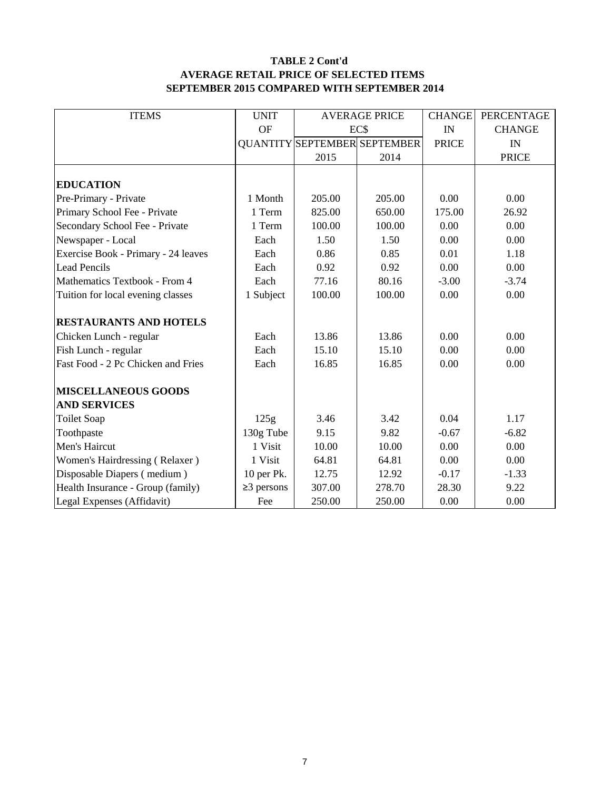#### **TABLE 2 Cont'd AVERAGE RETAIL PRICE OF SELECTED ITEMS SEPTEMBER 2015 COMPARED WITH SEPTEMBER 2014**

| <b>ITEMS</b>                        | <b>UNIT</b>      |        | <b>AVERAGE PRICE</b>                | <b>CHANGE</b> | PERCENTAGE    |
|-------------------------------------|------------------|--------|-------------------------------------|---------------|---------------|
|                                     | <b>OF</b>        | EC\$   |                                     | IN            | <b>CHANGE</b> |
|                                     |                  |        | <b>QUANTITY SEPTEMBER SEPTEMBER</b> | <b>PRICE</b>  | IN            |
|                                     |                  | 2015   | 2014                                |               | <b>PRICE</b>  |
|                                     |                  |        |                                     |               |               |
| <b>EDUCATION</b>                    |                  |        |                                     |               |               |
| Pre-Primary - Private               | 1 Month          | 205.00 | 205.00                              | 0.00          | 0.00          |
| Primary School Fee - Private        | 1 Term           | 825.00 | 650.00                              | 175.00        | 26.92         |
| Secondary School Fee - Private      | 1 Term           | 100.00 | 100.00                              | 0.00          | 0.00          |
| Newspaper - Local                   | Each             | 1.50   | 1.50                                | 0.00          | 0.00          |
| Exercise Book - Primary - 24 leaves | Each             | 0.86   | 0.85                                | 0.01          | 1.18          |
| <b>Lead Pencils</b>                 | Each             | 0.92   | 0.92                                | 0.00          | 0.00          |
| Mathematics Textbook - From 4       | Each             | 77.16  | 80.16                               | $-3.00$       | $-3.74$       |
| Tuition for local evening classes   | 1 Subject        | 100.00 | 100.00                              | 0.00          | 0.00          |
| <b>RESTAURANTS AND HOTELS</b>       |                  |        |                                     |               |               |
| Chicken Lunch - regular             | Each             | 13.86  | 13.86                               | 0.00          | 0.00          |
| Fish Lunch - regular                | Each             | 15.10  | 15.10                               | 0.00          | 0.00          |
| Fast Food - 2 Pc Chicken and Fries  | Each             | 16.85  | 16.85                               | 0.00          | 0.00          |
| <b>MISCELLANEOUS GOODS</b>          |                  |        |                                     |               |               |
| <b>AND SERVICES</b>                 |                  |        |                                     |               |               |
| <b>Toilet Soap</b>                  | 125g             | 3.46   | 3.42                                | 0.04          | 1.17          |
| Toothpaste                          | 130g Tube        | 9.15   | 9.82                                | $-0.67$       | $-6.82$       |
| Men's Haircut                       | 1 Visit          | 10.00  | 10.00                               | 0.00          | 0.00          |
| Women's Hairdressing (Relaxer)      | 1 Visit          | 64.81  | 64.81                               | 0.00          | 0.00          |
| Disposable Diapers (medium)         | 10 per Pk.       | 12.75  | 12.92                               | $-0.17$       | $-1.33$       |
| Health Insurance - Group (family)   | $\geq$ 3 persons | 307.00 | 278.70                              | 28.30         | 9.22          |
| Legal Expenses (Affidavit)          | Fee              | 250.00 | 250.00                              | 0.00          | 0.00          |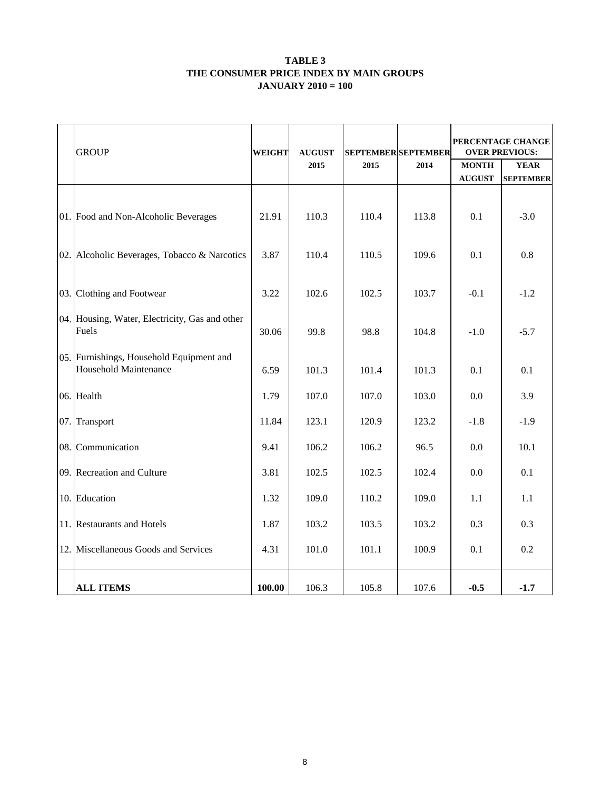#### **TABLE 3 THE CONSUMER PRICE INDEX BY MAIN GROUPS JANUARY 2010 = 100**

| <b>GROUP</b>                                                      | <b>WEIGHT</b> | <b>AUGUST</b> | <b>SEPTEMBER SEPTEMBER</b> |       | PERCENTAGE CHANGE<br><b>OVER PREVIOUS:</b> |                  |  |  |
|-------------------------------------------------------------------|---------------|---------------|----------------------------|-------|--------------------------------------------|------------------|--|--|
|                                                                   |               | 2015          | 2015                       | 2014  | <b>MONTH</b>                               | <b>YEAR</b>      |  |  |
|                                                                   |               |               |                            |       | <b>AUGUST</b>                              | <b>SEPTEMBER</b> |  |  |
| 01. Food and Non-Alcoholic Beverages                              | 21.91         | 110.3         | 110.4                      | 113.8 | 0.1                                        | $-3.0$           |  |  |
| 02. Alcoholic Beverages, Tobacco & Narcotics                      | 3.87          | 110.4         | 110.5                      | 109.6 | 0.1                                        | 0.8              |  |  |
| 03. Clothing and Footwear                                         | 3.22          | 102.6         | 102.5                      | 103.7 | $-0.1$                                     | $-1.2$           |  |  |
| [04. Housing, Water, Electricity, Gas and other<br>Fuels          | 30.06         | 99.8          | 98.8                       | 104.8 | $-1.0$                                     | $-5.7$           |  |  |
| 05. Furnishings, Household Equipment and<br>Household Maintenance | 6.59          | 101.3         | 101.4                      | 101.3 | 0.1                                        | 0.1              |  |  |
| 06. Health                                                        | 1.79          | 107.0         | 107.0                      | 103.0 | 0.0                                        | 3.9              |  |  |
| 07. Transport                                                     | 11.84         | 123.1         | 120.9                      | 123.2 | $-1.8$                                     | $-1.9$           |  |  |
| 08. Communication                                                 | 9.41          | 106.2         | 106.2                      | 96.5  | 0.0                                        | 10.1             |  |  |
| 09. Recreation and Culture                                        | 3.81          | 102.5         | 102.5                      | 102.4 | 0.0                                        | 0.1              |  |  |
| 10. Education                                                     | 1.32          | 109.0         | 110.2                      | 109.0 | 1.1                                        | 1.1              |  |  |
| 11. Restaurants and Hotels                                        | 1.87          | 103.2         | 103.5                      | 103.2 | 0.3                                        | 0.3              |  |  |
| 12. Miscellaneous Goods and Services                              | 4.31          | 101.0         | 101.1                      | 100.9 | 0.1                                        | 0.2              |  |  |
| <b>ALL ITEMS</b>                                                  | 100.00        | 106.3         | 105.8                      | 107.6 | $-0.5$                                     | $-1.7$           |  |  |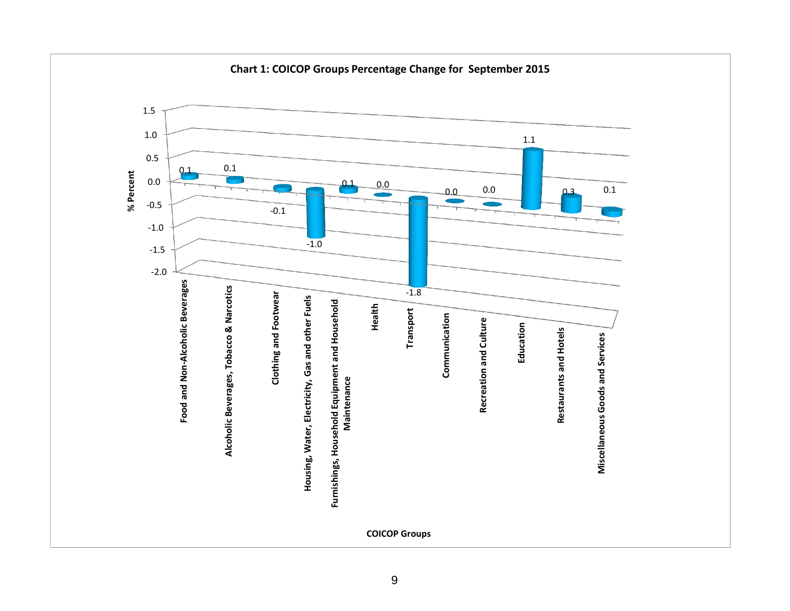

**Chart 1: COICOP Groups Percentage Change for September 2015**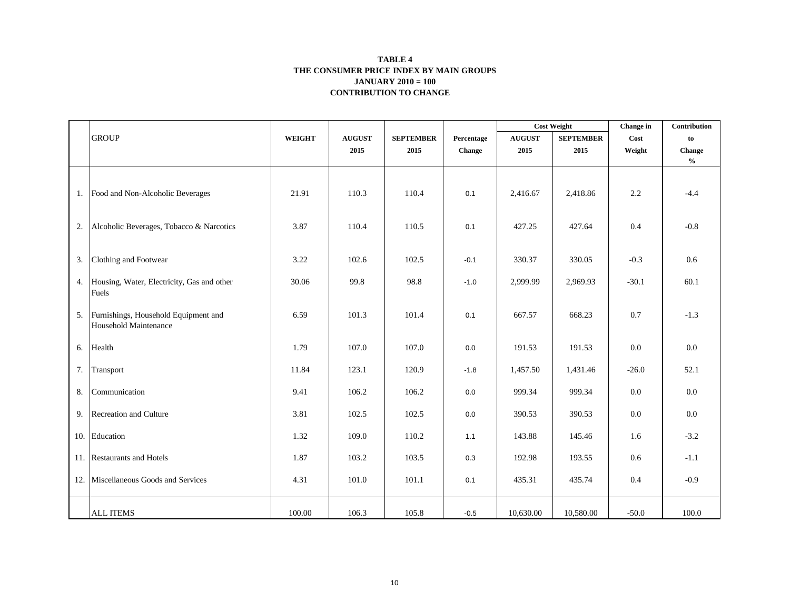#### **CONTRIBUTION TO CHANGE TABLE 4 THE CONSUMER PRICE INDEX BY MAIN GROUPS JANUARY 2010 = 100**

|    |                                                               |               |               |                  |            | <b>Cost Weight</b> |                  | Change in | Contribution                       |
|----|---------------------------------------------------------------|---------------|---------------|------------------|------------|--------------------|------------------|-----------|------------------------------------|
|    | <b>GROUP</b>                                                  | <b>WEIGHT</b> | <b>AUGUST</b> | <b>SEPTEMBER</b> | Percentage | <b>AUGUST</b>      | <b>SEPTEMBER</b> | Cost      | to                                 |
|    |                                                               |               | 2015          | 2015             | Change     | 2015               | 2015             | Weight    | <b>Change</b>                      |
|    |                                                               |               |               |                  |            |                    |                  |           | $\mathbf{0}_{\mathbf{0}}^{\prime}$ |
|    | 1. Food and Non-Alcoholic Beverages                           | 21.91         | 110.3         | 110.4            | 0.1        | 2,416.67           | 2,418.86         | 2.2       | $-4.4$                             |
| 2. | Alcoholic Beverages, Tobacco & Narcotics                      | 3.87          | 110.4         | 110.5            | 0.1        | 427.25             | 427.64           | 0.4       | $-0.8$                             |
| 3. | Clothing and Footwear                                         | 3.22          | 102.6         | 102.5            | $-0.1$     | 330.37             | 330.05           | $-0.3$    | 0.6                                |
|    | 4. Housing, Water, Electricity, Gas and other<br>Fuels        | 30.06         | 99.8          | 98.8             | $-1.0$     | 2,999.99           | 2,969.93         | $-30.1$   | 60.1                               |
| 5. | Furnishings, Household Equipment and<br>Household Maintenance | 6.59          | 101.3         | 101.4            | 0.1        | 667.57             | 668.23           | 0.7       | $-1.3$                             |
| 6. | Health                                                        | 1.79          | 107.0         | 107.0            | $0.0\,$    | 191.53             | 191.53           | 0.0       | 0.0                                |
| 7. | Transport                                                     | 11.84         | 123.1         | 120.9            | $-1.8$     | 1,457.50           | 1,431.46         | $-26.0$   | 52.1                               |
| 8. | Communication                                                 | 9.41          | 106.2         | 106.2            | 0.0        | 999.34             | 999.34           | 0.0       | 0.0                                |
|    | 9. Recreation and Culture                                     | 3.81          | 102.5         | 102.5            | 0.0        | 390.53             | 390.53           | 0.0       | $0.0\,$                            |
|    | 10. Education                                                 | 1.32          | 109.0         | 110.2            | 1.1        | 143.88             | 145.46           | 1.6       | $-3.2$                             |
|    | 11. Restaurants and Hotels                                    | 1.87          | 103.2         | 103.5            | 0.3        | 192.98             | 193.55           | 0.6       | $-1.1$                             |
|    | 12. Miscellaneous Goods and Services                          | 4.31          | 101.0         | 101.1            | 0.1        | 435.31             | 435.74           | 0.4       | $-0.9$                             |
|    | <b>ALL ITEMS</b>                                              | 100.00        | 106.3         | 105.8            | $-0.5$     | 10,630.00          | 10,580.00        | $-50.0$   | 100.0                              |